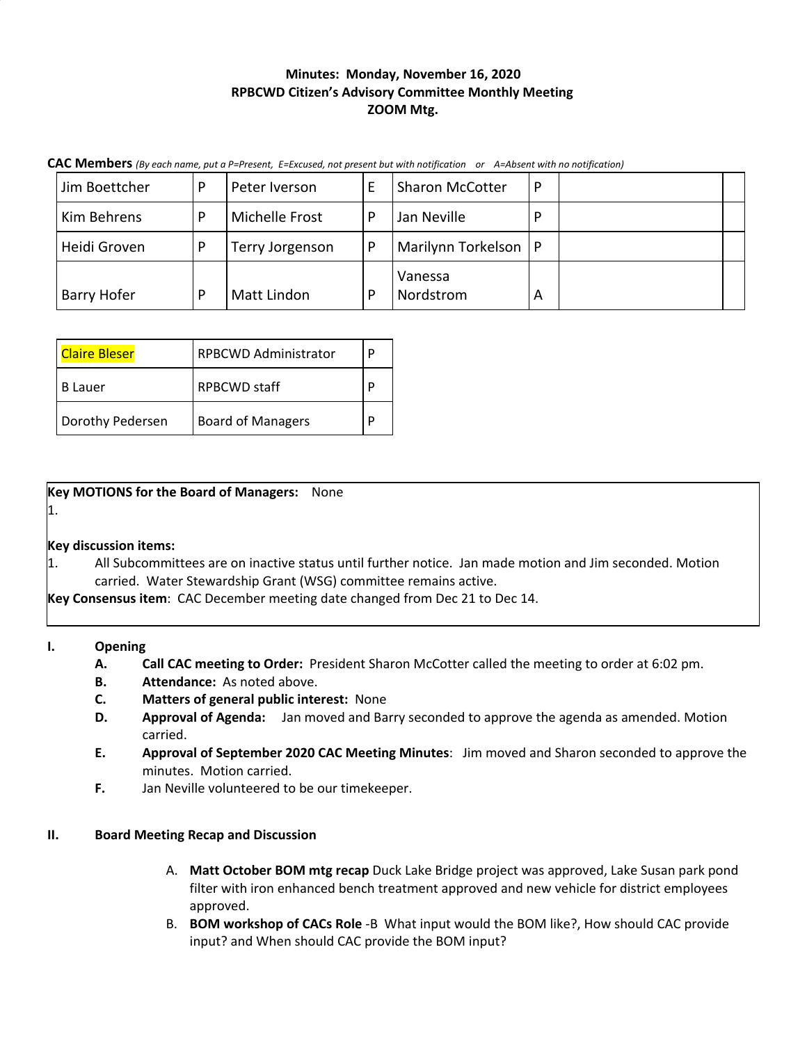## **Minutes: Monday, November 16, 2020 RPBCWD Citizen's Advisory Committee Monthly Meeting ZOOM Mtg.**

CAC Members (By each name, put a P=Present, E=Excused, not present but with notification or A=Absent with no notification)

| Jim Boettcher | Þ | Peter Iverson      | E | <b>Sharon McCotter</b> | P |  |
|---------------|---|--------------------|---|------------------------|---|--|
| Kim Behrens   | D | Michelle Frost     | P | Jan Neville            | P |  |
| Heidi Groven  | p | Terry Jorgenson    | P | Marilynn Torkelson   P |   |  |
| Barry Hofer   | D | <b>Matt Lindon</b> | р | Vanessa<br>Nordstrom   | А |  |

| <b>Claire Bleser</b> | <b>RPBCWD Administrator</b> | D |
|----------------------|-----------------------------|---|
| B Lauer              | <b>RPBCWD staff</b>         |   |
| Dorothy Pedersen     | <b>Board of Managers</b>    |   |

**Key MOTIONS for the Board of Managers:** None

1.

**Key discussion items:**

1. All Subcommittees are on inactive status until further notice. Jan made motion and Jim seconded. Motion carried. Water Stewardship Grant (WSG) committee remains active.

**Key Consensus item**: CAC December meeting date changed from Dec 21 to Dec 14.

### **I. Opening**

- **A. Call CAC meeting to Order:** President Sharon McCotter called the meeting to order at 6:02 pm.
- **B. Attendance:** As noted above.
- **C. Matters of general public interest:** None
- **D. Approval of Agenda:** Jan moved and Barry seconded to approve the agenda as amended. Motion carried.
- **E. Approval of September 2020 CAC Meeting Minutes**: Jim moved and Sharon seconded to approve the minutes. Motion carried.
- **F.** Jan Neville volunteered to be our timekeeper.

# **II. Board Meeting Recap and Discussion**

- A. **Matt October BOM mtg recap** Duck Lake Bridge project was approved, Lake Susan park pond filter with iron enhanced bench treatment approved and new vehicle for district employees approved.
- B. **BOM workshop of CACs Role** -B What input would the BOM like?, How should CAC provide input? and When should CAC provide the BOM input?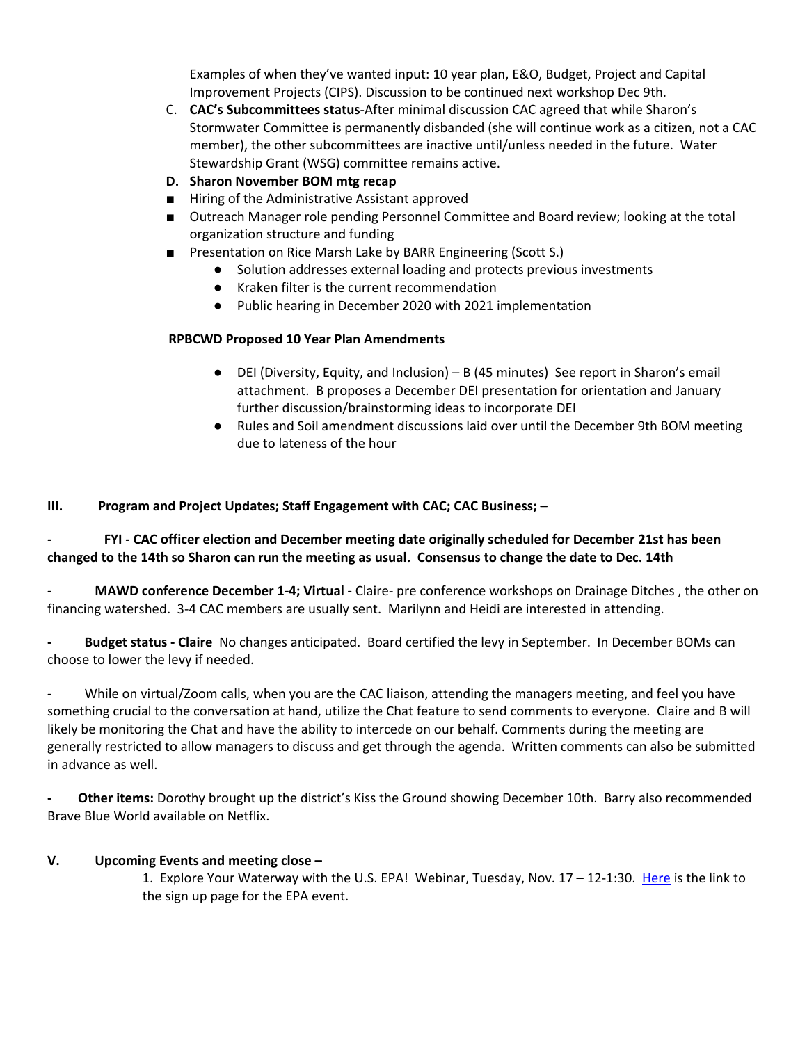Examples of when they've wanted input: 10 year plan, E&O, Budget, Project and Capital Improvement Projects (CIPS). Discussion to be continued next workshop Dec 9th.

- C. **CAC's Subcommittees status**-After minimal discussion CAC agreed that while Sharon's Stormwater Committee is permanently disbanded (she will continue work as a citizen, not a CAC member), the other subcommittees are inactive until/unless needed in the future. Water Stewardship Grant (WSG) committee remains active.
- **D. Sharon November BOM mtg recap**
- Hiring of the Administrative Assistant approved
- Outreach Manager role pending Personnel Committee and Board review; looking at the total organization structure and funding
- Presentation on Rice Marsh Lake by BARR Engineering (Scott S.)
	- Solution addresses external loading and protects previous investments
	- Kraken filter is the current recommendation
	- Public hearing in December 2020 with 2021 implementation

### **RPBCWD Proposed 10 Year Plan Amendments**

- DEI (Diversity, Equity, and Inclusion) B (45 minutes) See report in Sharon's email attachment. B proposes a December DEI presentation for orientation and January further discussion/brainstorming ideas to incorporate DEI
- Rules and Soil amendment discussions laid over until the December 9th BOM meeting due to lateness of the hour

**III. Program and Project Updates; Staff Engagement with CAC; CAC Business; –**

**- FYI - CAC officer election and December meeting date originally scheduled for December 21st has been** changed to the 14th so Sharon can run the meeting as usual. Consensus to change the date to Dec. 14th

**- MAWD conference December 1-4; Virtual -** Claire- pre conference workshops on Drainage Ditches , the other on financing watershed. 3-4 CAC members are usually sent. Marilynn and Heidi are interested in attending.

**- Budget status - Claire** No changes anticipated. Board certified the levy in September. In December BOMs can choose to lower the levy if needed.

**-** While on virtual/Zoom calls, when you are the CAC liaison, attending the managers meeting, and feel you have something crucial to the conversation at hand, utilize the Chat feature to send comments to everyone. Claire and B will likely be monitoring the Chat and have the ability to intercede on our behalf. Comments during the meeting are generally restricted to allow managers to discuss and get through the agenda. Written comments can also be submitted in advance as well.

**- Other items:** Dorothy brought up the district's Kiss the Ground showing December 10th. Barry also recommended Brave Blue World available on Netflix.

### **V. Upcoming Events and meeting close –**

1. Explore Your Waterway with the U.S. EPA! Webinar, Tuesday, Nov. 17 – 12-1:30. [Here](https://www.eventbrite.com/e/explore-your-waterway-with-the-us-epa-tickets-126441529017) is the link to the sign up page for the EPA event.